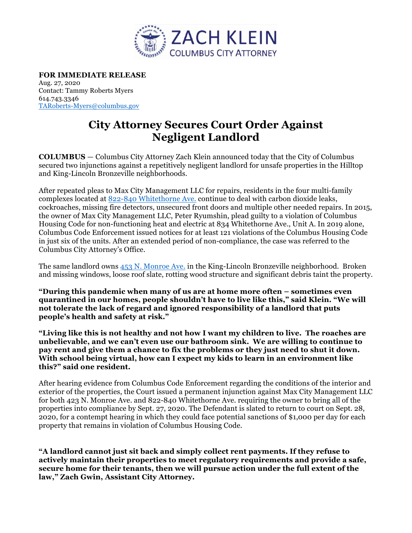

**FOR IMMEDIATE RELEASE**  Aug. 27, 2020 Contact: Tammy Roberts Myers 614.743.3346 TARoberts-Myers@columbus.gov

## **City Attorney Secures Court Order Against Negligent Landlord**

**COLUMBUS** — Columbus City Attorney Zach Klein announced today that the City of Columbus secured two injunctions against a repetitively negligent landlord for unsafe properties in the Hilltop and King-Lincoln Bronzeville neighborhoods.

After repeated pleas to Max City Management LLC for repairs, residents in the four multi-family complexes located at 822-840 Whitethorne Ave. continue to deal with carbon dioxide leaks, cockroaches, missing fire detectors, unsecured front doors and multiple other needed repairs. In 2015, the owner of Max City Management LLC, Peter Ryumshin, plead guilty to a violation of Columbus Housing Code for non-functioning heat and electric at 834 Whitethorne Ave., Unit A. In 2019 alone, Columbus Code Enforcement issued notices for at least 121 violations of the Columbus Housing Code in just six of the units. After an extended period of non-compliance, the case was referred to the Columbus City Attorney's Office.

The same landlord owns 453 N. Monroe Ave. in the King-Lincoln Bronzeville neighborhood. Broken and missing windows, loose roof slate, rotting wood structure and significant debris taint the property.

**"During this pandemic when many of us are at home more often – sometimes even quarantined in our homes, people shouldn't have to live like this," said Klein. "We will not tolerate the lack of regard and ignored responsibility of a landlord that puts people's health and safety at risk."** 

**"Living like this is not healthy and not how I want my children to live. The roaches are unbelievable, and we can't even use our bathroom sink. We are willing to continue to pay rent and give them a chance to fix the problems or they just need to shut it down. With school being virtual, how can I expect my kids to learn in an environment like this?" said one resident.** 

After hearing evidence from Columbus Code Enforcement regarding the conditions of the interior and exterior of the properties, the Court issued a permanent injunction against Max City Management LLC for both 423 N. Monroe Ave. and 822-840 Whitethorne Ave. requiring the owner to bring all of the properties into compliance by Sept. 27, 2020. The Defendant is slated to return to court on Sept. 28, 2020, for a contempt hearing in which they could face potential sanctions of \$1,000 per day for each property that remains in violation of Columbus Housing Code.

**"A landlord cannot just sit back and simply collect rent payments. If they refuse to actively maintain their properties to meet regulatory requirements and provide a safe, secure home for their tenants, then we will pursue action under the full extent of the law," Zach Gwin, Assistant City Attorney.**